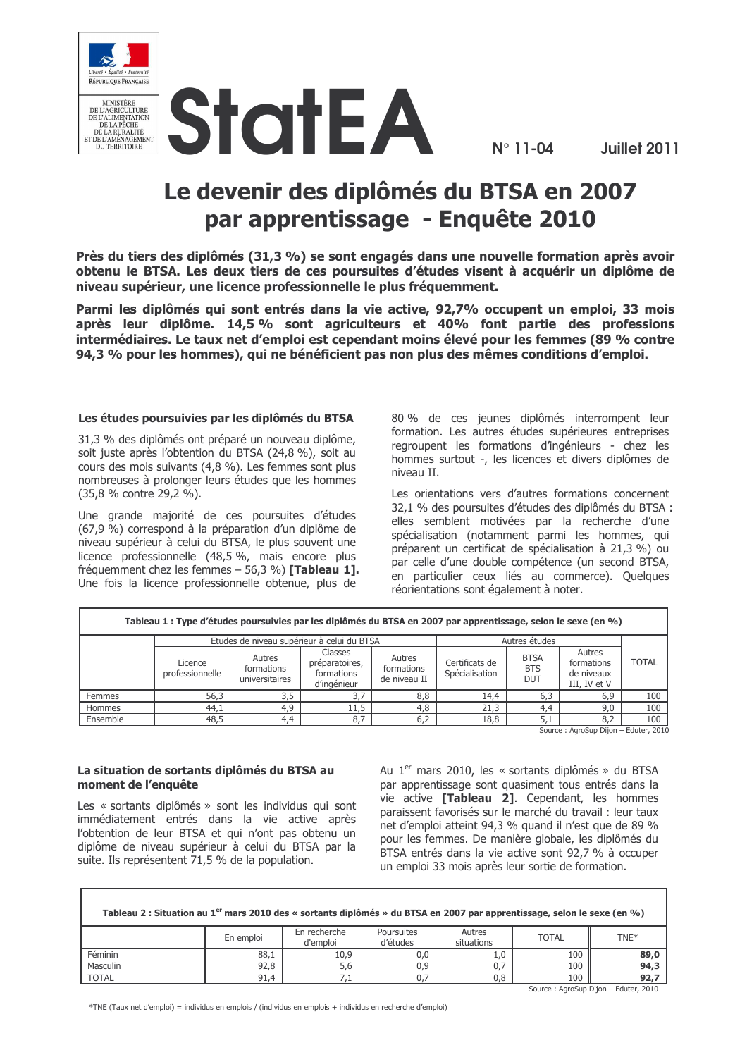

 $N^{\circ}$  11-04

# Le devenir des diplômés du BTSA en 2007 par apprentissage - Enquête 2010

Près du tiers des diplômés (31,3 %) se sont engagés dans une nouvelle formation après avoir obtenu le BTSA. Les deux tiers de ces poursuites d'études visent à acquérir un diplôme de niveau supérieur, une licence professionnelle le plus fréquemment.

Parmi les diplômés qui sont entrés dans la vie active, 92,7% occupent un emploi, 33 mois après leur diplôme. 14,5 % sont agriculteurs et 40% font partie des professions intermédiaires. Le taux net d'emploi est cependant moins élevé pour les femmes (89 % contre 94,3 % pour les hommes), qui ne bénéficient pas non plus des mêmes conditions d'emploi.

### Les études poursuivies par les diplômés du BTSA

31.3 % des diplômés ont préparé un nouveau diplôme. soit juste après l'obtention du BTSA (24,8 %), soit au cours des mois suivants (4,8 %). Les femmes sont plus nombreuses à prolonger leurs études que les hommes (35,8 % contre 29,2 %).

Une grande majorité de ces poursuites d'études (67,9 %) correspond à la préparation d'un diplôme de niveau supérieur à celui du BTSA, le plus souvent une licence professionnelle (48,5 %, mais encore plus fréquemment chez les femmes - 56,3 %) [Tableau 1]. Une fois la licence professionnelle obtenue, plus de

80 % de ces jeunes diplômés interrompent leur formation. Les autres études supérieures entreprises regroupent les formations d'ingénieurs - chez les hommes surtout -, les licences et divers diplômes de niveau II.

Les orientations vers d'autres formations concernent 32.1 % des poursuites d'études des diplômés du BTSA : elles semblent motivées par la recherche d'une spécialisation (notamment parmi les hommes, qui préparent un certificat de spécialisation à 21,3 %) ou par celle d'une double compétence (un second BTSA, en particulier ceux liés au commerce). Quelques réorientations sont également à noter.

| Tableau 1 : Type d'études poursuivies par les diplômés du BTSA en 2007 par apprentissage, selon le sexe (en %) |                                            |                                        |                                                        |                                      |                                  |                                         |                                                    |              |
|----------------------------------------------------------------------------------------------------------------|--------------------------------------------|----------------------------------------|--------------------------------------------------------|--------------------------------------|----------------------------------|-----------------------------------------|----------------------------------------------------|--------------|
|                                                                                                                | Etudes de niveau supérieur à celui du BTSA |                                        |                                                        |                                      | Autres études                    |                                         |                                                    |              |
|                                                                                                                | Licence<br>professionnelle                 | Autres<br>formations<br>universitaires | Classes<br>préparatoires,<br>formations<br>d'ingénieur | Autres<br>formations<br>de niveau II | Certificats de<br>Spécialisation | <b>BTSA</b><br><b>BTS</b><br><b>DUT</b> | Autres<br>formations<br>de niveaux<br>III, IV et V | <b>TOTAL</b> |
| Femmes                                                                                                         | 56,3                                       | 3,5                                    | 3.7                                                    | 8,8                                  | 14,4                             | 6,3                                     | 6,9                                                | 100          |
| Hommes                                                                                                         | 44,1                                       | 4,9                                    | 11,5                                                   | 4,8                                  | 21,3                             | 4,4                                     | 9,0                                                | 100          |
| Ensemble                                                                                                       | 48,5                                       | 4.4                                    | 8.7                                                    | 6,2                                  | 18,8                             | 5.1                                     | 8,2                                                | 100          |

Source : AgroSup Dijon - Eduter, 2010

### La situation de sortants diplômés du BTSA au moment de l'enquête

Г

Les « sortants diplômés » sont les individus qui sont immédiatement entrés dans la vie active après l'obtention de leur BTSA et qui n'ont pas obtenu un diplôme de niveau supérieur à celui du BTSA par la suite. Ils représentent 71.5 % de la population.

Au 1<sup>er</sup> mars 2010, les « sortants diplômés » du BTSA par apprentissage sont quasiment tous entrés dans la vie active [Tableau 2]. Cependant, les hommes paraissent favorisés sur le marché du travail : leur taux net d'emploi atteint 94.3 % quand il n'est que de 89 % pour les femmes. De manière globale, les diplômés du BTSA entrés dans la vie active sont 92.7 % à occuper un emploi 33 mois après leur sortie de formation.

| Tableau 2 : Situation au 1 <sup>er</sup> mars 2010 des « sortants diplômés » du BTSA en 2007 par apprentissage, selon le sexe (en %) |           |                          |                        |                      |              |      |  |
|--------------------------------------------------------------------------------------------------------------------------------------|-----------|--------------------------|------------------------|----------------------|--------------|------|--|
|                                                                                                                                      | En emploi | En recherche<br>d'emploi | Poursuites<br>d'études | Autres<br>situations | <b>TOTAL</b> | TNE* |  |
| Féminin                                                                                                                              | 88.1      | 10,9                     | 0.0                    | 1,0                  | 100          | 89,0 |  |
| Masculin                                                                                                                             | 92,8      | 5,6                      | 0.9                    |                      | 100          | 94,3 |  |
| <b>TOTAL</b>                                                                                                                         | 91,4      | 7,1                      |                        | 0,8                  | 100          | 92.7 |  |

\*TNE (Taux net d'emploi) = individus en emplois / (individus en emplois + individus en recherche d'emploi)

Source: AgroSup Dijon - Eduter, 2010